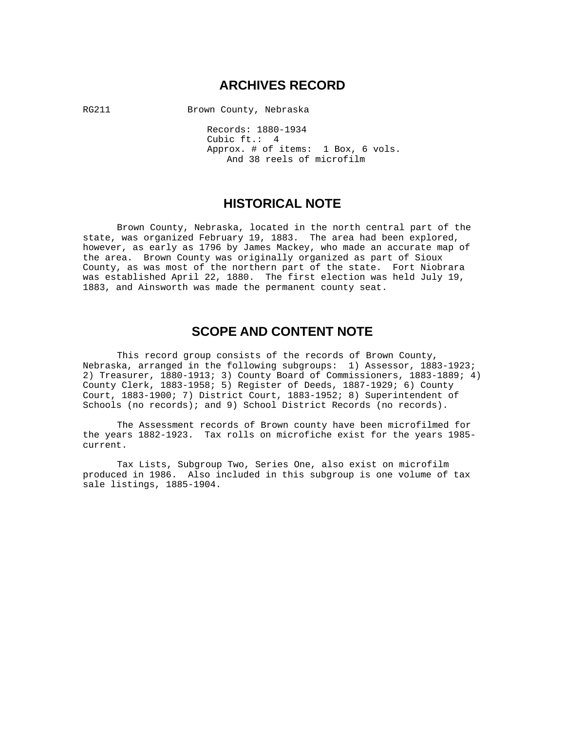## **ARCHIVES RECORD**

RG211 Brown County, Nebraska

 Records: 1880-1934 Cubic ft.: 4 Approx. # of items: 1 Box, 6 vols. And 38 reels of microfilm

## **HISTORICAL NOTE**

 Brown County, Nebraska, located in the north central part of the state, was organized February 19, 1883. The area had been explored, however, as early as 1796 by James Mackey, who made an accurate map of the area. Brown County was originally organized as part of Sioux County, as was most of the northern part of the state. Fort Niobrara was established April 22, 1880. The first election was held July 19, 1883, and Ainsworth was made the permanent county seat.

## **SCOPE AND CONTENT NOTE**

 This record group consists of the records of Brown County, Nebraska, arranged in the following subgroups: 1) Assessor, 1883-1923; 2) Treasurer, 1880-1913; 3) County Board of Commissioners, 1883-1889; 4) County Clerk, 1883-1958; 5) Register of Deeds, 1887-1929; 6) County Court, 1883-1900; 7) District Court, 1883-1952; 8) Superintendent of Schools (no records); and 9) School District Records (no records).

 The Assessment records of Brown county have been microfilmed for the years 1882-1923. Tax rolls on microfiche exist for the years 1985 current.

 Tax Lists, Subgroup Two, Series One, also exist on microfilm produced in 1986. Also included in this subgroup is one volume of tax sale listings, 1885-1904.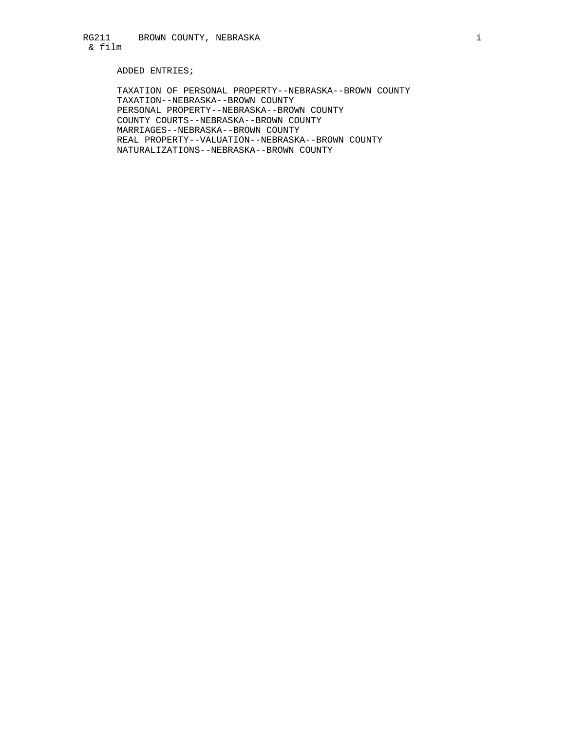### ADDED ENTRIES;

 TAXATION OF PERSONAL PROPERTY--NEBRASKA--BROWN COUNTY TAXATION--NEBRASKA--BROWN COUNTY PERSONAL PROPERTY--NEBRASKA--BROWN COUNTY COUNTY COURTS--NEBRASKA--BROWN COUNTY MARRIAGES--NEBRASKA--BROWN COUNTY REAL PROPERTY--VALUATION--NEBRASKA--BROWN COUNTY NATURALIZATIONS--NEBRASKA--BROWN COUNTY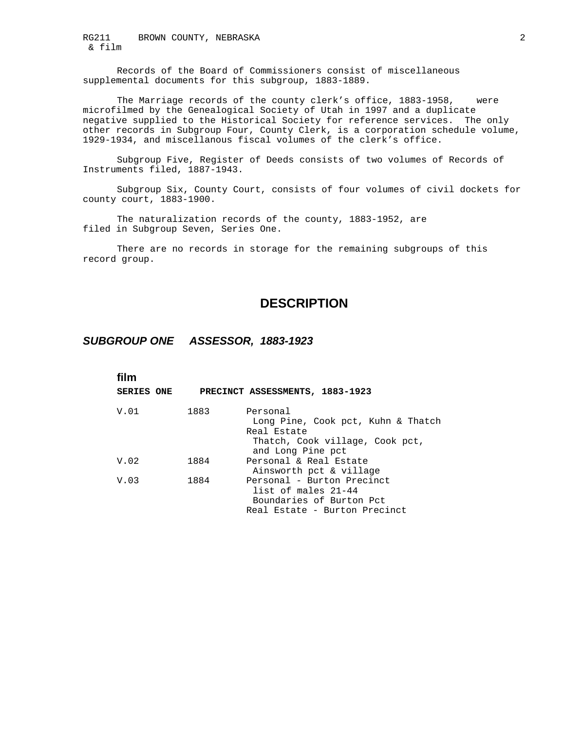RG211 BROWN COUNTY, NEBRASKA & film

 Records of the Board of Commissioners consist of miscellaneous supplemental documents for this subgroup, 1883-1889.

 The Marriage records of the county clerk's office, 1883-1958, were microfilmed by the Genealogical Society of Utah in 1997 and a duplicate negative supplied to the Historical Society for reference services. The only other records in Subgroup Four, County Clerk, is a corporation schedule volume, 1929-1934, and miscellanous fiscal volumes of the clerk's office.

 Subgroup Five, Register of Deeds consists of two volumes of Records of Instruments filed, 1887-1943.

 Subgroup Six, County Court, consists of four volumes of civil dockets for county court, 1883-1900.

 The naturalization records of the county, 1883-1952, are filed in Subgroup Seven, Series One.

 There are no records in storage for the remaining subgroups of this record group.

## **DESCRIPTION**

## *SUBGROUP ONE ASSESSOR, 1883-1923*

| film<br><b>SERIES ONE</b> |      | PRECINCT ASSESSMENTS, 1883-1923                                                                                       |
|---------------------------|------|-----------------------------------------------------------------------------------------------------------------------|
| V.01                      | 1883 | Personal<br>Long Pine, Cook pct, Kuhn & Thatch<br>Real Estate<br>Thatch, Cook village, Cook pct,<br>and Long Pine pct |
| V.02                      | 1884 | Personal & Real Estate<br>Ainsworth pct & village                                                                     |
| V.03                      | 1884 | Personal - Burton Precinct<br>list of males 21-44<br>Boundaries of Burton Pct<br>Real Estate - Burton Precinct        |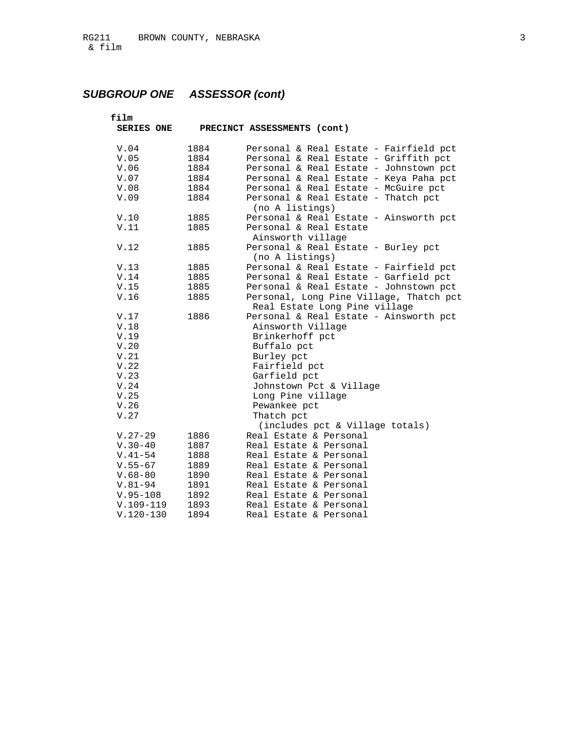| film            |              |                                                                             |
|-----------------|--------------|-----------------------------------------------------------------------------|
| SERIES ONE      |              | PRECINCT ASSESSMENTS (cont)                                                 |
| V.04            | 1884         | Personal & Real Estate - Fairfield pct                                      |
| V.05            | 1884         | Personal & Real Estate - Griffith pct                                       |
| V.06            | 1884         | Personal & Real Estate - Johnstown pct                                      |
| $\mathtt{V.07}$ | 1884         | Personal & Real Estate - Keya Paha pct                                      |
|                 |              |                                                                             |
| V.08<br>V.09    | 1884<br>1884 | Personal & Real Estate - McGuire pct<br>Personal & Real Estate - Thatch pct |
|                 |              | (no A listings)                                                             |
| V.10            | 1885         | Personal & Real Estate - Ainsworth pct                                      |
| V.11            | 1885         | Personal & Real Estate                                                      |
|                 |              |                                                                             |
|                 |              | Ainsworth village                                                           |
| V.12            | 1885         | Personal & Real Estate - Burley pct                                         |
|                 |              | (no A listings)                                                             |
| V.13            | 1885         | Personal & Real Estate - Fairfield pct                                      |
| V.14            | 1885         | Personal & Real Estate - Garfield pct                                       |
| V.15            | 1885         | Personal & Real Estate - Johnstown pct                                      |
| V.16            | 1885         | Personal, Long Pine Village, Thatch pct                                     |
|                 |              | Real Estate Long Pine village                                               |
| V.17            | 1886         | Personal & Real Estate - Ainsworth pct                                      |
| V.18            |              | Ainsworth Village                                                           |
| V.19            |              | Brinkerhoff pct                                                             |
| V.20            |              | Buffalo pct                                                                 |
| V.21            |              | Burley pct                                                                  |
| V.22            |              | Fairfield pct                                                               |
| V.23            |              | Garfield pct                                                                |
| V.24            |              | Johnstown Pct & Village                                                     |
| V.25            |              | Long Pine village                                                           |
| V.26            |              | Pewankee pct                                                                |
| V.27            |              | Thatch pct                                                                  |
|                 |              | (includes pct & Village totals)                                             |
| $V.27-29$       | 1886         | Real Estate & Personal                                                      |
| $V.30-40$       | 1887         | Real Estate & Personal                                                      |
| $V.41-54$       | 1888         | Real Estate & Personal                                                      |
| $V.55 - 67$     | 1889         | Real Estate & Personal                                                      |
| $V.68 - 80$     | 1890         | Real Estate & Personal                                                      |
| $V.81 - 94$     | 1891         | Real Estate & Personal                                                      |
| $V.95 - 108$    | 1892         | Real Estate & Personal                                                      |
| $V.109-119$     | 1893         | Real Estate & Personal                                                      |
| $V.120-130$     | 1894         | Real Estate & Personal                                                      |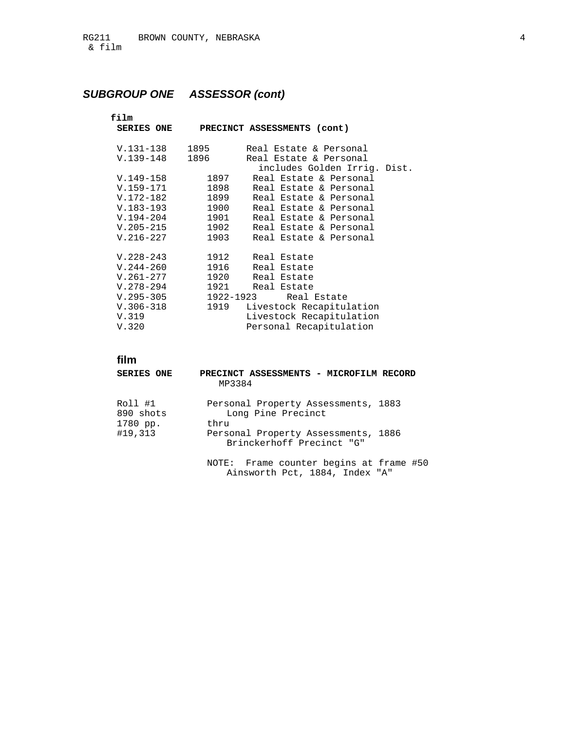| film              |                                  |
|-------------------|----------------------------------|
| <b>SERIES ONE</b> | PRECINCT ASSESSMENTS (cont)      |
|                   |                                  |
| V.131-138         | 1895<br>Real Estate & Personal   |
| $V.139-148$       | 1896<br>Real Estate & Personal   |
|                   | includes Golden Irrig. Dist.     |
| $V.149-158$       | 1897<br>Real Estate & Personal   |
| $V.159 - 171$     | 1898<br>Real Estate & Personal   |
| V.172-182         | 1899<br>Real Estate & Personal   |
| $V.183 - 193$     | 1900<br>Real Estate & Personal   |
| $V.194-204$       | 1901<br>Real Estate & Personal   |
| $V.205 - 215$     | 1902<br>Real Estate & Personal   |
| $V.216-227$       | 1903<br>Real Estate & Personal   |
|                   |                                  |
| $V.228 - 243$     | 1912<br>Real Estate              |
| $V.244 - 260$     | 1916<br>Real Estate              |
| $V.261 - 277$     | 1920<br>Real Estate              |
| $V.278 - 294$     | 1921<br>Real Estate              |
| $V.295 - 305$     | 1922-1923<br>Real Estate         |
| $V.306 - 318$     | 1919<br>Livestock Recapitulation |
| V.319             | Livestock Recapitulation         |
| V.320             | Personal Recapitulation          |
|                   |                                  |

## **film**

| <b>SERIES ONE</b>                | PRECINCT ASSESSMENTS - MICROFILM RECORD<br>MP3384                         |
|----------------------------------|---------------------------------------------------------------------------|
| Roll #1<br>890 shots<br>1780 pp. | Personal Property Assessments, 1883<br>Long Pine Precinct<br>thru         |
| #19,313                          | Personal Property Assessments, 1886<br>Brinckerhoff Precinct "G"          |
|                                  | NOTE: Frame counter begins at frame #50<br>Ainsworth Pct, 1884, Index "A" |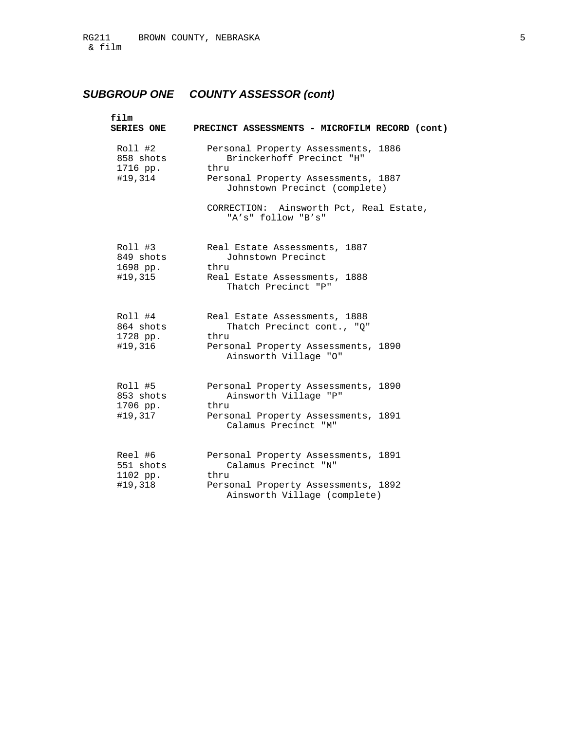# *SUBGROUP ONE COUNTY ASSESSOR (cont)*

| film<br><b>SERIES ONE</b>                   | PRECINCT ASSESSMENTS - MICROFILM RECORD (cont)                                                                                                                                                                    |
|---------------------------------------------|-------------------------------------------------------------------------------------------------------------------------------------------------------------------------------------------------------------------|
| Roll #2<br>858 shots<br>1716 pp.<br>#19,314 | Personal Property Assessments, 1886<br>Brinckerhoff Precinct "H"<br>thru<br>Personal Property Assessments, 1887<br>Johnstown Precinct (complete)<br>CORRECTION: Ainsworth Pct, Real Estate,<br>"A's" follow "B's" |
| Roll #3<br>849 shots<br>1698 pp.<br>#19,315 | Real Estate Assessments, 1887<br>Johnstown Precinct<br>thru<br>Real Estate Assessments, 1888<br>Thatch Precinct "P"                                                                                               |
| Roll #4<br>864 shots<br>1728 pp.<br>#19,316 | Real Estate Assessments, 1888<br>Thatch Precinct cont., "O"<br>thru<br>Personal Property Assessments, 1890<br>Ainsworth Village "O"                                                                               |
| Roll #5<br>853 shots<br>1706 pp.<br>#19,317 | Personal Property Assessments, 1890<br>Ainsworth Village "P"<br>thru<br>Personal Property Assessments, 1891<br>Calamus Precinct "M"                                                                               |
| Reel #6<br>551 shots<br>1102 pp.<br>#19,318 | Personal Property Assessments, 1891<br>Calamus Precinct "N"<br>thru<br>Personal Property Assessments, 1892<br>Ainsworth Village (complete)                                                                        |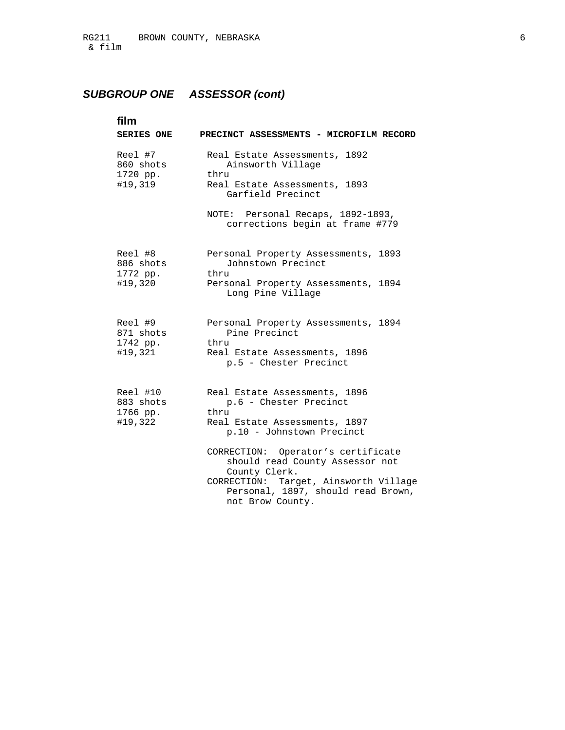| film<br><b>SERIES ONE</b>                    | PRECINCT ASSESSMENTS - MICROFILM RECORD                                                                                                                                                                                                                                                                                    |
|----------------------------------------------|----------------------------------------------------------------------------------------------------------------------------------------------------------------------------------------------------------------------------------------------------------------------------------------------------------------------------|
| Reel #7<br>860 shots<br>1720 pp.<br>#19,319  | Real Estate Assessments, 1892<br>Ainsworth Village<br>thru<br>Real Estate Assessments, 1893<br>Garfield Precinct                                                                                                                                                                                                           |
|                                              | NOTE: Personal Recaps, 1892-1893,<br>corrections begin at frame #779                                                                                                                                                                                                                                                       |
| Reel #8<br>886 shots<br>1772 pp.<br>#19,320  | Personal Property Assessments, 1893<br>Johnstown Precinct<br>thru<br>Personal Property Assessments, 1894<br>Long Pine Village                                                                                                                                                                                              |
| Reel #9<br>871 shots<br>1742 pp.<br>#19,321  | Personal Property Assessments, 1894<br>Pine Precinct<br>thru<br>Real Estate Assessments, 1896<br>p.5 - Chester Precinct                                                                                                                                                                                                    |
| Reel #10<br>883 shots<br>1766 pp.<br>#19,322 | Real Estate Assessments, 1896<br>p.6 - Chester Precinct<br>thru<br>Real Estate Assessments, 1897<br>p.10 - Johnstown Precinct<br>CORRECTION: Operator's certificate<br>should read County Assessor not<br>County Clerk.<br>CORRECTION: Target, Ainsworth Village<br>Personal, 1897, should read Brown,<br>not Brow County. |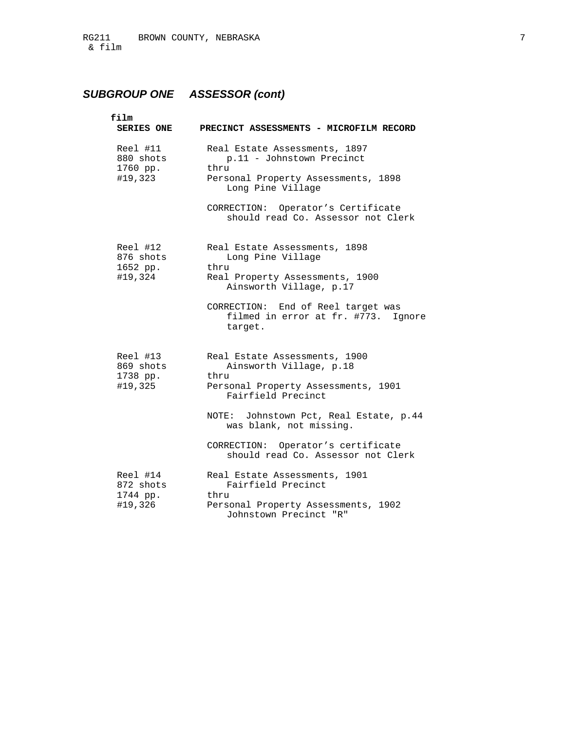| film<br><b>SERIES ONE</b>                    | PRECINCT ASSESSMENTS - MICROFILM RECORD                                                                                        |
|----------------------------------------------|--------------------------------------------------------------------------------------------------------------------------------|
| Reel #11<br>880 shots<br>1760 pp.<br>#19,323 | Real Estate Assessments, 1897<br>p.11 - Johnstown Precinct<br>thru<br>Personal Property Assessments, 1898<br>Long Pine Village |
|                                              | CORRECTION: Operator's Certificate<br>should read Co. Assessor not Clerk                                                       |
| Reel #12<br>876 shots<br>1652 pp.<br>#19,324 | Real Estate Assessments, 1898<br>Long Pine Village<br>thru<br>Real Property Assessments, 1900<br>Ainsworth Village, p.17       |
|                                              | CORRECTION: End of Reel target was<br>filmed in error at fr. #773. Ignore<br>target.                                           |
| Reel #13<br>869 shots<br>1738 pp.<br>#19,325 | Real Estate Assessments, 1900<br>Ainsworth Village, p.18<br>thru<br>Personal Property Assessments, 1901<br>Fairfield Precinct  |
|                                              | NOTE: Johnstown Pct, Real Estate, p.44<br>was blank, not missing.                                                              |
|                                              | CORRECTION: Operator's certificate<br>should read Co. Assessor not Clerk                                                       |
| Reel #14<br>872 shots<br>1744 pp.<br>#19,326 | Real Estate Assessments, 1901<br>Fairfield Precinct<br>thru<br>Personal Property Assessments, 1902<br>Johnstown Precinct "R"   |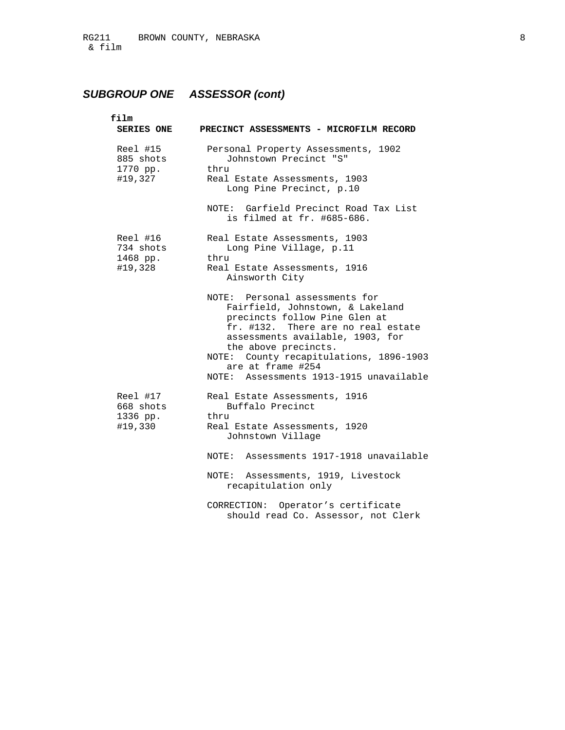| film<br><b>SERIES ONE</b>                    | PRECINCT ASSESSMENTS - MICROFILM RECORD                                                                                                                                                                                                                                                                          |
|----------------------------------------------|------------------------------------------------------------------------------------------------------------------------------------------------------------------------------------------------------------------------------------------------------------------------------------------------------------------|
| Reel #15<br>885 shots<br>1770 pp.<br>#19,327 | Personal Property Assessments, 1902<br>Johnstown Precinct "S"<br>thru<br>Real Estate Assessments, 1903<br>Long Pine Precinct, p.10                                                                                                                                                                               |
|                                              | NOTE: Garfield Precinct Road Tax List<br>is filmed at fr. #685-686.                                                                                                                                                                                                                                              |
| Reel #16<br>734 shots<br>1468 pp.<br>#19,328 | Real Estate Assessments, 1903<br>Long Pine Village, p.11<br>thru<br>Real Estate Assessments, 1916<br>Ainsworth City                                                                                                                                                                                              |
|                                              | NOTE: Personal assessments for<br>Fairfield, Johnstown, & Lakeland<br>precincts follow Pine Glen at<br>fr. #132. There are no real estate<br>assessments available, 1903, for<br>the above precincts.<br>NOTE: County recapitulations, 1896-1903<br>are at frame #254<br>NOTE: Assessments 1913-1915 unavailable |
| Reel #17<br>668 shots<br>1336 pp.<br>#19,330 | Real Estate Assessments, 1916<br>Buffalo Precinct<br>thru<br>Real Estate Assessments, 1920<br>Johnstown Village                                                                                                                                                                                                  |
|                                              | NOTE: Assessments 1917-1918 unavailable                                                                                                                                                                                                                                                                          |
|                                              | Assessments, 1919, Livestock<br>NOTE :<br>recapitulation only                                                                                                                                                                                                                                                    |
|                                              | CORRECTION: Operator's certificate<br>should read Co. Assessor, not Clerk                                                                                                                                                                                                                                        |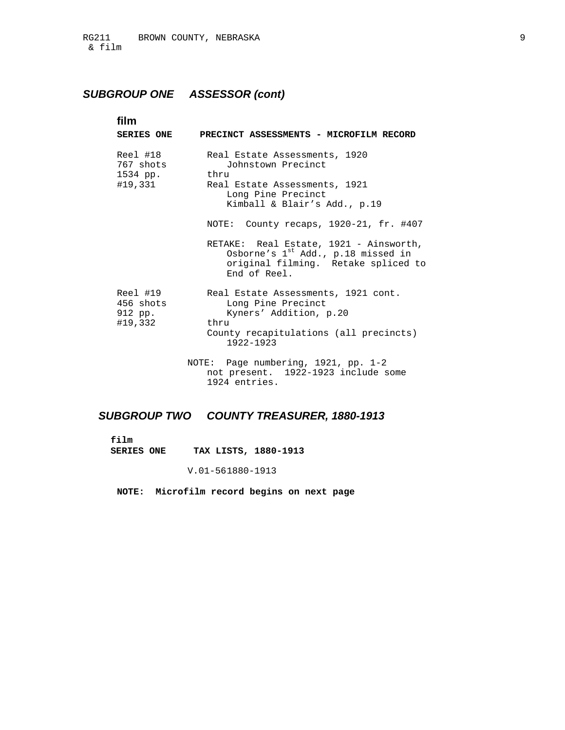| film                                         |                                                                                                                                                                                                                                                                                                                                     |
|----------------------------------------------|-------------------------------------------------------------------------------------------------------------------------------------------------------------------------------------------------------------------------------------------------------------------------------------------------------------------------------------|
| <b>SERIES ONE</b>                            | PRECINCT ASSESSMENTS - MICROFILM RECORD                                                                                                                                                                                                                                                                                             |
| Reel #18<br>767 shots<br>1534 pp.<br>#19,331 | Real Estate Assessments, 1920<br>Johnstown Precinct<br>thru<br>Real Estate Assessments, 1921<br>Long Pine Precinct<br>Kimball & Blair's Add., p.19<br>NOTE: County recaps, 1920-21, fr. #407<br>RETAKE: Real Estate, 1921 - Ainsworth,<br>Osborne's 1st Add., p.18 missed in<br>original filming. Retake spliced to<br>End of Reel. |
| Reel #19<br>456 shots<br>912 pp.<br>#19,332  | Real Estate Assessments, 1921 cont.<br>Long Pine Precinct<br>Kyners' Addition, p.20<br>thru<br>County recapitulations (all precincts)<br>1922-1923                                                                                                                                                                                  |
|                                              | NOTE: Page numbering, 1921, pp. 1-2<br>not present. 1922-1923 include some<br>1924 entries.                                                                                                                                                                                                                                         |

## *SUBGROUP TWO COUNTY TREASURER, 1880-1913*

 **film** 

 **SERIES ONE TAX LISTS, 1880-1913** 

V.01-56 1880-1913

 **NOTE: Microfilm record begins on next page**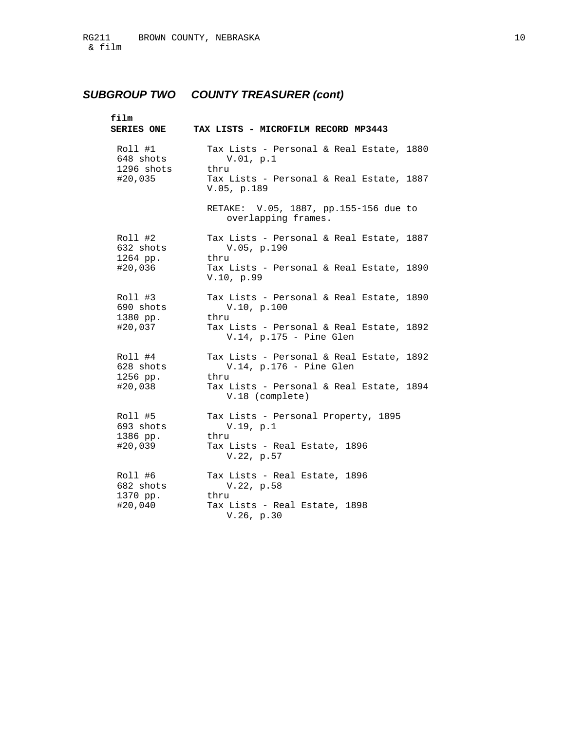# *SUBGROUP TWO COUNTY TREASURER (cont)*

| film<br><b>SERIES ONE</b>          | TAX LISTS - MICROFILM RECORD MP3443                                            |
|------------------------------------|--------------------------------------------------------------------------------|
| Roll #1<br>648 shots<br>1296 shots | Tax Lists - Personal & Real Estate, 1880<br>V.01, p.1<br>thru                  |
| #20,035                            | Tax Lists - Personal & Real Estate, 1887<br>V.05, p.189                        |
|                                    | RETAKE: V.05, 1887, pp.155-156 due to<br>overlapping frames.                   |
| Roll #2<br>632 shots<br>1264 pp.   | Tax Lists - Personal & Real Estate, 1887<br>V.05, p.190<br>thru                |
| #20,036                            | Tax Lists - Personal & Real Estate, 1890<br>V.10, p.99                         |
| Roll #3<br>690 shots<br>1380 pp.   | Tax Lists - Personal & Real Estate, 1890<br>V.10, p.100<br>thru                |
| #20,037                            | Tax Lists - Personal & Real Estate, 1892<br>$V.14$ , p.175 - Pine Glen         |
| Roll #4<br>628 shots<br>1256 pp.   | Tax Lists - Personal & Real Estate, 1892<br>$V.14$ , p.176 - Pine Glen<br>thru |
| #20,038                            | Tax Lists - Personal & Real Estate, 1894<br>V.18 (complete)                    |
| Roll #5<br>693 shots<br>1386 pp.   | Tax Lists - Personal Property, 1895<br>V.19, p.1<br>thru                       |
| #20,039                            | Tax Lists - Real Estate, 1896<br>V.22, p.57                                    |
| Roll #6<br>682 shots<br>1370 pp.   | Tax Lists - Real Estate, 1896<br>V.22, p.58<br>thru                            |
| #20,040                            | Tax Lists - Real Estate, 1898<br>V.26, p.30                                    |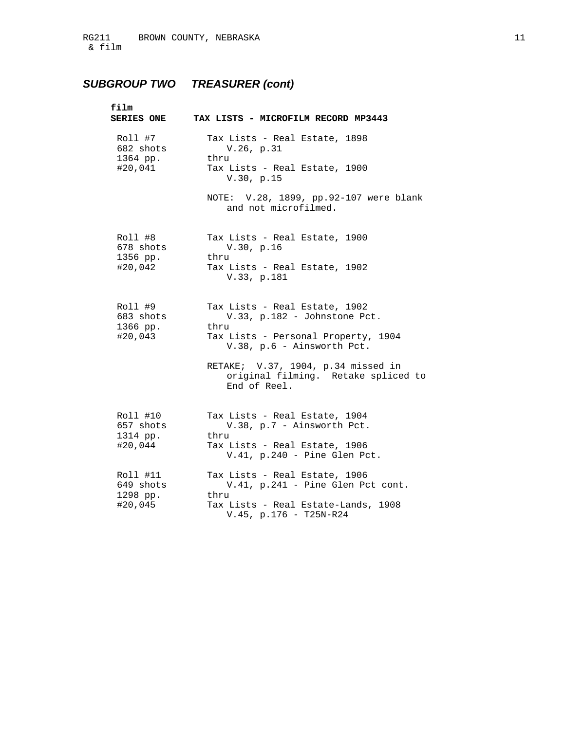# *SUBGROUP TWO TREASURER (cont)*

| film<br><b>SERIES ONE</b>                    | TAX LISTS - MICROFILM RECORD MP3443                                                                                                         |
|----------------------------------------------|---------------------------------------------------------------------------------------------------------------------------------------------|
| Roll #7<br>682 shots<br>1364 pp.<br>#20,041  | Tax Lists - Real Estate, 1898<br>V.26, p.31<br>thru<br>Tax Lists - Real Estate, 1900<br>V.30, p.15                                          |
|                                              | NOTE: V.28, 1899, pp.92-107 were blank<br>and not microfilmed.                                                                              |
| Roll #8<br>678 shots<br>1356 pp.<br>#20,042  | Tax Lists - Real Estate, 1900<br>V.30, p.16<br>thru<br>Tax Lists - Real Estate, 1902<br>V.33, p.181                                         |
| Roll #9<br>683 shots<br>1366 pp.<br>#20,043  | Tax Lists - Real Estate, 1902<br>V.33, p.182 - Johnstone Pct.<br>thru<br>Tax Lists - Personal Property, 1904<br>V.38, p.6 - Ainsworth Pct.  |
|                                              | RETAKE; V.37, 1904, p.34 missed in<br>original filming. Retake spliced to<br>End of Reel.                                                   |
| Roll #10<br>657 shots<br>1314 pp.<br>#20,044 | Tax Lists - Real Estate, 1904<br>V.38, p.7 - Ainsworth Pct.<br>thru<br>Tax Lists - Real Estate, 1906<br>$V.41$ , p.240 - Pine Glen Pct.     |
| Roll #11<br>649 shots<br>1298 pp.<br>#20,045 | Tax Lists - Real Estate, 1906<br>V.41, p.241 - Pine Glen Pct cont.<br>thru<br>Tax Lists - Real Estate-Lands, 1908<br>V.45, p.176 - T25N-R24 |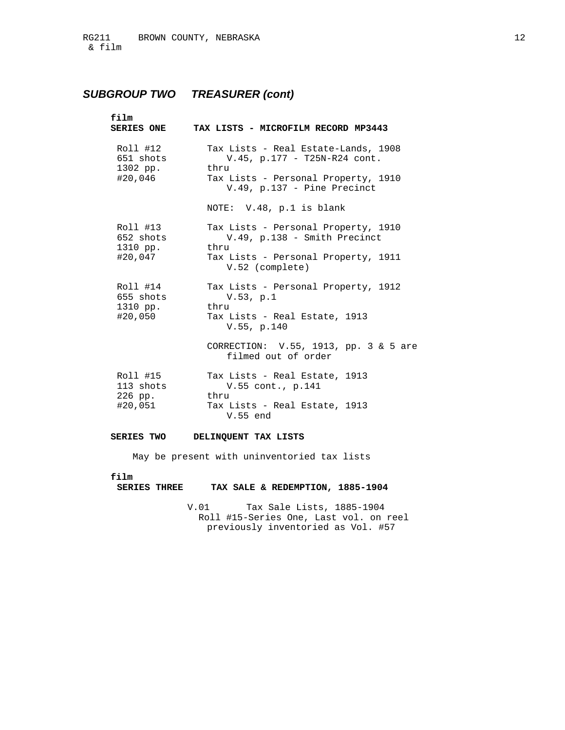## *SUBGROUP TWO TREASURER (cont)*

| film<br><b>SERIES ONE</b>         | TAX LISTS - MICROFILM RECORD MP3443                                            |
|-----------------------------------|--------------------------------------------------------------------------------|
| Roll #12<br>651 shots<br>1302 pp. | Tax Lists - Real Estate-Lands, 1908<br>$V.45$ , p.177 - T25N-R24 cont.<br>thru |
| #20,046                           | Tax Lists - Personal Property, 1910<br>$V.49$ , p.137 - Pine Precinct          |
|                                   | NOTE: V.48, p.1 is blank                                                       |
| Roll #13<br>652 shots<br>1310 pp. | Tax Lists - Personal Property, 1910<br>V.49, p.138 - Smith Precinct<br>thru    |
| #20,047                           | Tax Lists - Personal Property, 1911<br>V.52 (complete)                         |
| Roll #14<br>655 shots<br>1310 pp. | Tax Lists - Personal Property, 1912<br>V.53, p.1<br>thru                       |
| #20,050                           | Tax Lists - Real Estate, 1913<br>V.55, p.140                                   |
|                                   | CORRECTION: V.55, 1913, pp. 3 & 5 are<br>filmed out of order                   |
| Roll #15<br>113 shots<br>226 pp.  | Tax Lists - Real Estate, 1913<br>V.55 cont., p.141<br>thru                     |
| #20,051                           | Tax Lists - Real Estate, 1913<br>V.55 end                                      |

## **SERIES TWO DELINQUENT TAX LISTS**

May be present with uninventoried tax lists

### **film**

## **SERIES THREE TAX SALE & REDEMPTION, 1885-1904**

 V.01 Tax Sale Lists, 1885-1904 Roll #15-Series One, Last vol. on reel previously inventoried as Vol. #57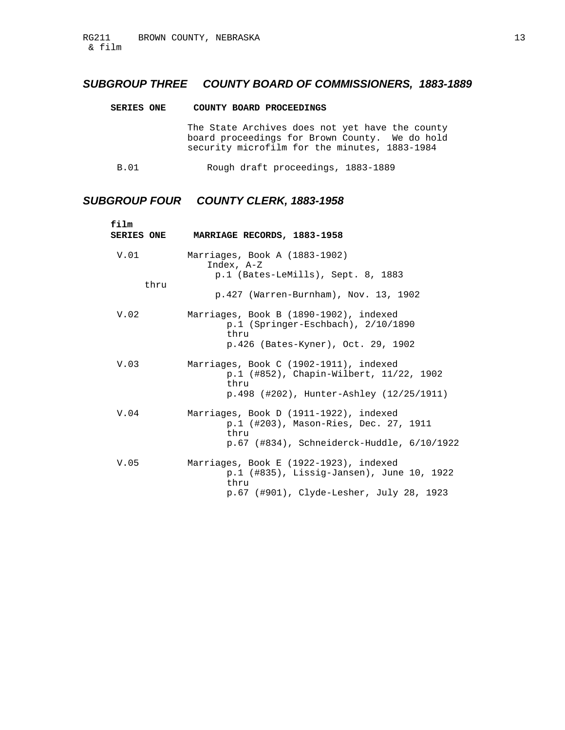## *SUBGROUP THREE COUNTY BOARD OF COMMISSIONERS, 1883-1889*

| <b>SERIES ONE</b> | COUNTY BOARD PROCEEDINGS                                                                                                                           |
|-------------------|----------------------------------------------------------------------------------------------------------------------------------------------------|
|                   | The State Archives does not yet have the county<br>board proceedings for Brown County. We do hold<br>security microfilm for the minutes, 1883-1984 |
| B.01              | Rough draft proceedings, 1883-1889                                                                                                                 |

## *SUBGROUP FOUR COUNTY CLERK, 1883-1958*

| film<br><b>SERIES ONE</b> | MARRIAGE RECORDS, 1883-1958                                                                                                             |
|---------------------------|-----------------------------------------------------------------------------------------------------------------------------------------|
| V.01<br>thru              | Marriages, Book A (1883-1902)<br>Index, A-Z<br>p.1 (Bates-LeMills), Sept. 8, 1883                                                       |
|                           | p.427 (Warren-Burnham), Nov. 13, 1902                                                                                                   |
| V.02                      | Marriages, Book B (1890-1902), indexed<br>$p.1$ (Springer-Eschbach), $2/10/1890$<br>thru<br>p.426 (Bates-Kyner), Oct. 29, 1902          |
| V.03                      | Marriages, Book C (1902-1911), indexed<br>p.1 (#852), Chapin-Wilbert, 11/22, 1902<br>thru<br>p.498 (#202), Hunter-Ashley (12/25/1911)   |
| V.04                      | Marriages, Book D (1911-1922), indexed<br>p.1 (#203), Mason-Ries, Dec. 27, 1911<br>thru<br>p.67 (#834), Schneiderck-Huddle, 6/10/1922   |
| V.05                      | Marriages, Book E (1922-1923), indexed<br>p.1 (#835), Lissig-Jansen), June 10, 1922<br>thru<br>p.67 (#901), Clyde-Lesher, July 28, 1923 |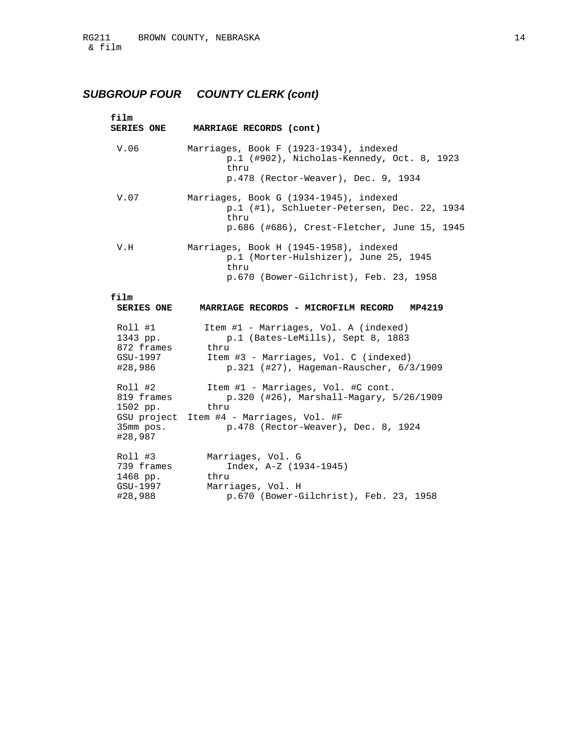# *SUBGROUP FOUR COUNTY CLERK (cont)*

| film<br><b>SERIES ONE</b>                                 | MARRIAGE RECORDS (cont)                                                                                                                                                    |
|-----------------------------------------------------------|----------------------------------------------------------------------------------------------------------------------------------------------------------------------------|
| V.06                                                      | Marriages, Book F (1923-1934), indexed<br>p.1 (#902), Nicholas-Kennedy, Oct. 8, 1923<br>thru<br>p.478 (Rector-Weaver), Dec. 9, 1934                                        |
| V.07                                                      | Marriages, Book G (1934-1945), indexed<br>p.1 (#1), Schlueter-Petersen, Dec. 22, 1934<br>thru<br>p.686 (#686), Crest-Fletcher, June 15, 1945                               |
| V.H                                                       | Marriages, Book H (1945-1958), indexed<br>p.1 (Morter-Hulshizer), June 25, 1945<br>thru<br>p.670 (Bower-Gilchrist), Feb. 23, 1958                                          |
| film<br><b>SERIES ONE</b>                                 | MARRIAGE RECORDS - MICROFILM RECORD MP4219                                                                                                                                 |
| Roll #1<br>1343 pp.<br>872 frames<br>GSU-1997<br>#28,986  | Item #1 - Marriages, Vol. A (indexed)<br>p.1 (Bates-LeMills), Sept 8, 1883<br>thru<br>Item #3 - Marriages, Vol. C (indexed)<br>$p.321$ (#27), Hageman-Rauscher, $6/3/1909$ |
| Roll #2<br>819 frames<br>1502 pp.<br>35mm pos.<br>#28,987 | Item #1 - Marriages, Vol. #C cont.<br>p.320 (#26), Marshall-Magary, 5/26/1909<br>thru<br>GSU project Item #4 - Marriages, Vol. #F<br>p.478 (Rector-Weaver), Dec. 8, 1924   |
| Roll #3<br>739 frames<br>1468 pp.<br>GSU-1997<br>#28,988  | Marriages, Vol. G<br>$Index, A-Z (1934-1945)$<br>thru<br>Marriages, Vol. H<br>p.670 (Bower-Gilchrist), Feb. 23, 1958                                                       |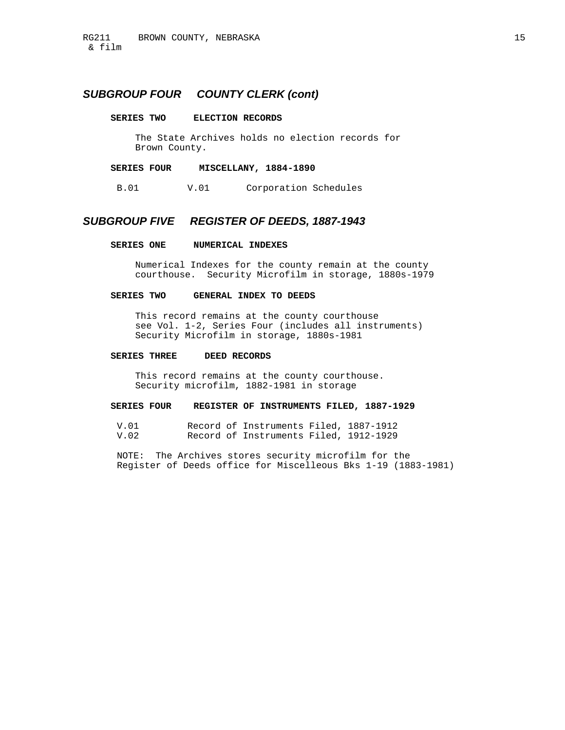## *SUBGROUP FOUR COUNTY CLERK (cont)*

#### **SERIES TWO ELECTION RECORDS**

 The State Archives holds no election records for Brown County.

### **SERIES FOUR MISCELLANY, 1884-1890**

B.01 V.01 Corporation Schedules

### *SUBGROUP FIVE REGISTER OF DEEDS, 1887-1943*

#### **SERIES ONE NUMERICAL INDEXES**

 Numerical Indexes for the county remain at the county courthouse. Security Microfilm in storage, 1880s-1979

### **SERIES TWO GENERAL INDEX TO DEEDS**

 This record remains at the county courthouse see Vol. 1-2, Series Four (includes all instruments) Security Microfilm in storage, 1880s-1981

### **SERIES THREE DEED RECORDS**

 This record remains at the county courthouse. Security microfilm, 1882-1981 in storage

### **SERIES FOUR REGISTER OF INSTRUMENTS FILED, 1887-1929**

 V.01 Record of Instruments Filed, 1887-1912 Record of Instruments Filed, 1912-1929

 NOTE: The Archives stores security microfilm for the Register of Deeds office for Miscelleous Bks 1-19 (1883-1981)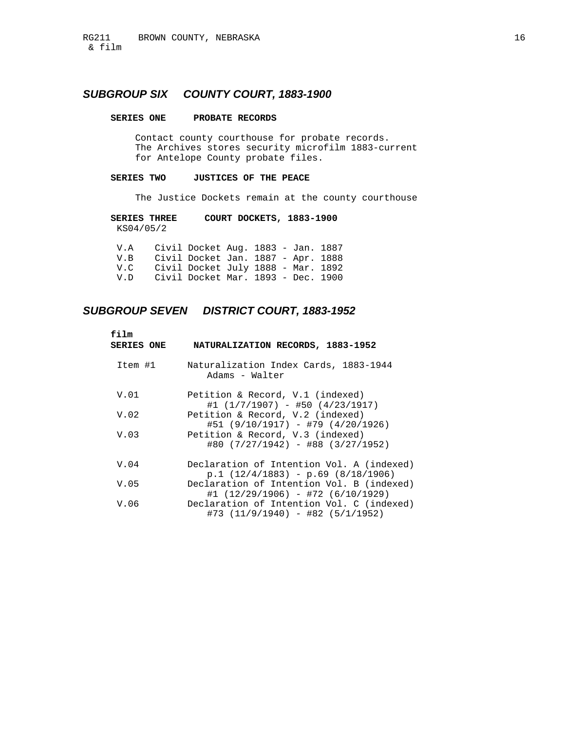## *SUBGROUP SIX COUNTY COURT, 1883-1900*

### **SERIES ONE PROBATE RECORDS**

 Contact county courthouse for probate records. The Archives stores security microfilm 1883-current for Antelope County probate files.

### **SERIES TWO JUSTICES OF THE PEACE**

The Justice Dockets remain at the county courthouse

 **SERIES THREE COURT DOCKETS, 1883-1900**  KS04/05/2

| V.A      | Civil Docket Aug. 1883 - Jan. 1887 |  |  |
|----------|------------------------------------|--|--|
| VR.      | Civil Docket Jan. 1887 - Apr. 1888 |  |  |
| $V \cap$ | Civil Docket July 1888 - Mar. 1892 |  |  |
| V.D      | Civil Docket Mar. 1893 - Dec. 1900 |  |  |

## *SUBGROUP SEVEN DISTRICT COURT, 1883-1952*

| $f$ ilm<br><b>SERIES ONE</b> | NATURALIZATION RECORDS, 1883-1952                                                |
|------------------------------|----------------------------------------------------------------------------------|
| Item #1                      | Naturalization Index Cards, 1883-1944<br>Adams - Walter                          |
| V.01                         | Petition & Record, V.1 (indexed)<br>$#1$ (1/7/1907) - #50 (4/23/1917)            |
| V.02                         | Petition & Record, V.2 (indexed)<br>#51 (9/10/1917) - #79 (4/20/1926)            |
| V.03                         | Petition & Record, V.3 (indexed)<br>$\#80$ (7/27/1942) - $\#88$ (3/27/1952)      |
| V.04                         | Declaration of Intention Vol. A (indexed)<br>$p.1(12/4/1883) - p.69(8/18/1906)$  |
| V.05                         | Declaration of Intention Vol. B (indexed)<br>$#1$ (12/29/1906) - #72 (6/10/1929) |
| V.06                         | Declaration of Intention Vol. C (indexed)<br>#73 (11/9/1940) - #82 (5/1/1952)    |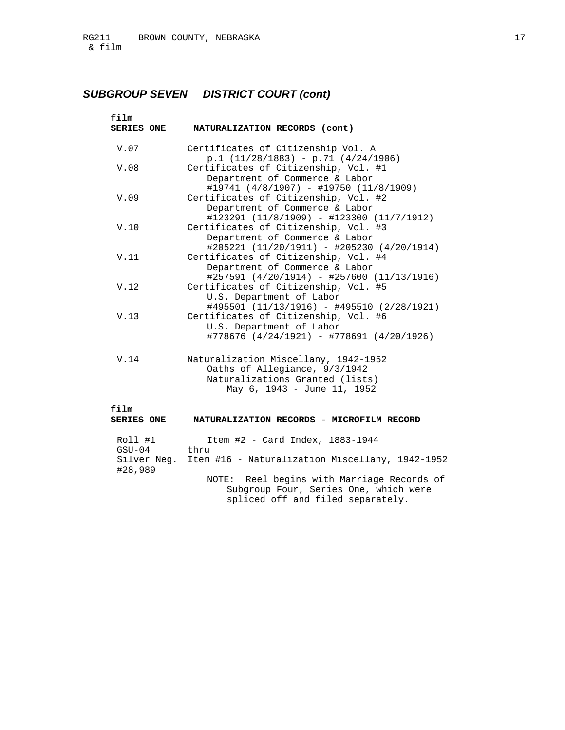# *SUBGROUP SEVEN DISTRICT COURT (cont)*

| film<br><b>SERIES ONE</b>                     | NATURALIZATION RECORDS (cont)                                                                                                           |
|-----------------------------------------------|-----------------------------------------------------------------------------------------------------------------------------------------|
| V.07                                          | Certificates of Citizenship Vol. A<br>$p.1$ (11/28/1883) - p.71 (4/24/1906)                                                             |
| V.08                                          | Certificates of Citizenship, Vol. #1<br>Department of Commerce & Labor<br>#19741 (4/8/1907) - #19750 (11/8/1909)                        |
| V.09                                          | Certificates of Citizenship, Vol. #2<br>Department of Commerce & Labor<br>#123291 (11/8/1909) - #123300 (11/7/1912)                     |
| V.10                                          | Certificates of Citizenship, Vol. #3<br>Department of Commerce & Labor<br>#205221 (11/20/1911) - #205230 (4/20/1914)                    |
| V.11                                          | Certificates of Citizenship, Vol. #4<br>Department of Commerce & Labor<br>#257591 (4/20/1914) - #257600 (11/13/1916)                    |
| V.12                                          | Certificates of Citizenship, Vol. #5<br>U.S. Department of Labor<br>#495501 (11/13/1916) - #495510 (2/28/1921)                          |
| V.13                                          | Certificates of Citizenship, Vol. #6<br>U.S. Department of Labor<br>#778676 (4/24/1921) - #778691 (4/20/1926)                           |
| V.14                                          | Naturalization Miscellany, 1942-1952<br>Oaths of Allegiance, 9/3/1942<br>Naturalizations Granted (lists)<br>May 6, 1943 - June 11, 1952 |
| film<br><b>SERIES ONE</b>                     | NATURALIZATION RECORDS - MICROFILM RECORD                                                                                               |
| Roll #1<br>$GSU-04$<br>Silver Neg.<br>#28,989 | Item $#2$ - Card Index, 1883-1944<br>thru<br>Item #16 - Naturalization Miscellany, 1942-1952                                            |
|                                               | NOTE: Reel begins with Marriage Records of<br>Subgroup Four, Series One, which were                                                     |

spliced off and filed separately.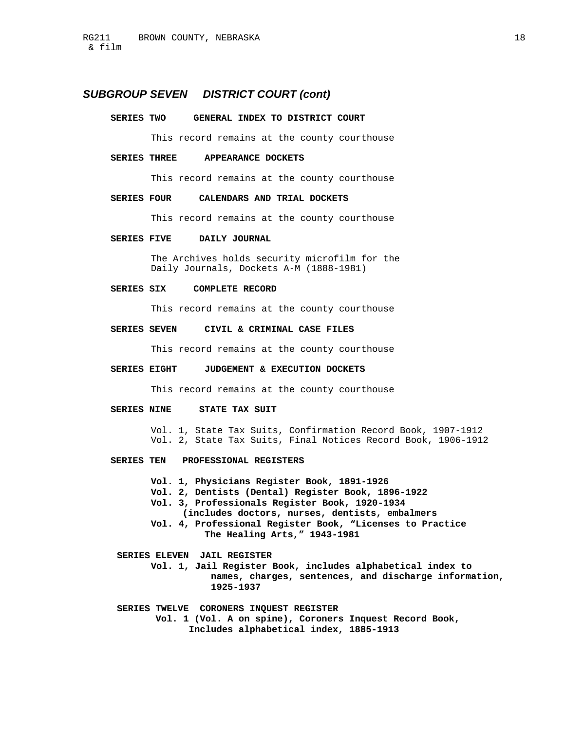## *SUBGROUP SEVEN DISTRICT COURT (cont)*

#### **SERIES TWO GENERAL INDEX TO DISTRICT COURT**

This record remains at the county courthouse

#### **SERIES THREE APPEARANCE DOCKETS**

This record remains at the county courthouse

### **SERIES FOUR CALENDARS AND TRIAL DOCKETS**

This record remains at the county courthouse

#### **SERIES FIVE DAILY JOURNAL**

 The Archives holds security microfilm for the Daily Journals, Dockets A-M (1888-1981)

### **SERIES SIX COMPLETE RECORD**

This record remains at the county courthouse

#### **SERIES SEVEN CIVIL & CRIMINAL CASE FILES**

This record remains at the county courthouse

#### **SERIES EIGHT JUDGEMENT & EXECUTION DOCKETS**

This record remains at the county courthouse

### **SERIES NINE STATE TAX SUIT**

 Vol. 1, State Tax Suits, Confirmation Record Book, 1907-1912 Vol. 2, State Tax Suits, Final Notices Record Book, 1906-1912

#### **SERIES TEN PROFESSIONAL REGISTERS**

 **Vol. 1, Physicians Register Book, 1891-1926** 

 **Vol. 2, Dentists (Dental) Register Book, 1896-1922** 

 **Vol. 3, Professionals Register Book, 1920-1934** 

- **(includes doctors, nurses, dentists, embalmers**
- **Vol. 4, Professional Register Book, "Licenses to Practice The Healing Arts," 1943-1981**
- **SERIES ELEVEN JAIL REGISTER** 
	- **Vol. 1, Jail Register Book, includes alphabetical index to names, charges, sentences, and discharge information, 1925-1937**
- **SERIES TWELVE CORONERS INQUEST REGISTER Vol. 1 (Vol. A on spine), Coroners Inquest Record Book, Includes alphabetical index, 1885-1913**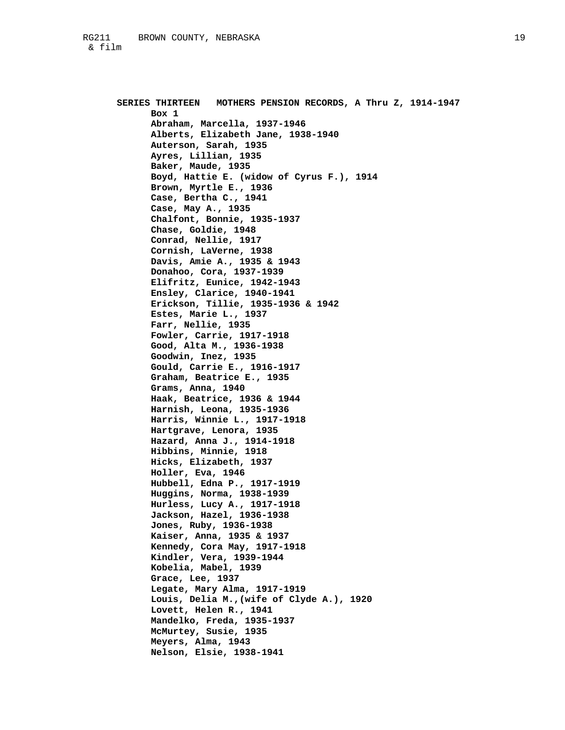**SERIES THIRTEEN MOTHERS PENSION RECORDS, A Thru Z, 1914-1947 Box 1 Abraham, Marcella, 1937-1946 Alberts, Elizabeth Jane, 1938-1940 Auterson, Sarah, 1935 Ayres, Lillian, 1935 Baker, Maude, 1935 Boyd, Hattie E. (widow of Cyrus F.), 1914 Brown, Myrtle E., 1936 Case, Bertha C., 1941 Case, May A., 1935 Chalfont, Bonnie, 1935-1937 Chase, Goldie, 1948 Conrad, Nellie, 1917 Cornish, LaVerne, 1938 Davis, Amie A., 1935 & 1943 Donahoo, Cora, 1937-1939 Elifritz, Eunice, 1942-1943 Ensley, Clarice, 1940-1941 Erickson, Tillie, 1935-1936 & 1942 Estes, Marie L., 1937 Farr, Nellie, 1935 Fowler, Carrie, 1917-1918 Good, Alta M., 1936-1938 Goodwin, Inez, 1935 Gould, Carrie E., 1916-1917 Graham, Beatrice E., 1935 Grams, Anna, 1940 Haak, Beatrice, 1936 & 1944 Harnish, Leona, 1935-1936 Harris, Winnie L., 1917-1918 Hartgrave, Lenora, 1935 Hazard, Anna J., 1914-1918 Hibbins, Minnie, 1918 Hicks, Elizabeth, 1937 Holler, Eva, 1946 Hubbell, Edna P., 1917-1919 Huggins, Norma, 1938-1939 Hurless, Lucy A., 1917-1918 Jackson, Hazel, 1936-1938 Jones, Ruby, 1936-1938 Kaiser, Anna, 1935 & 1937 Kennedy, Cora May, 1917-1918 Kindler, Vera, 1939-1944 Kobelia, Mabel, 1939 Grace, Lee, 1937 Legate, Mary Alma, 1917-1919 Louis, Delia M.,(wife of Clyde A.), 1920 Lovett, Helen R., 1941 Mandelko, Freda, 1935-1937 McMurtey, Susie, 1935 Meyers, Alma, 1943 Nelson, Elsie, 1938-1941**